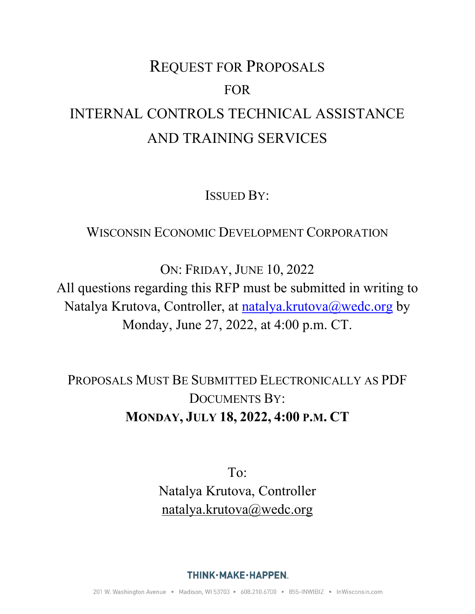# REQUEST FOR PROPOSALS FOR INTERNAL CONTROLS TECHNICAL ASSISTANCE AND TRAINING SERVICES

ISSUED BY:

# WISCONSIN ECONOMIC DEVELOPMENT CORPORATION

ON: FRIDAY, JUNE 10, 2022

All questions regarding this RFP must be submitted in writing to Natalya Krutova, Controller, at **natalya.krutova@wedc.org** by Monday, June 27, 2022, at 4:00 p.m. CT.

PROPOSALS MUST BE SUBMITTED ELECTRONICALLY AS PDF DOCUMENTS BY: **MONDAY, JULY 18, 2022, 4:00 P.M. CT**

> To: Natalya Krutova, Controller [natalya.krutova@wedc.org](mailto:natalya.krutova@wedc.org)

> > THINK·MAKE·HAPPEN.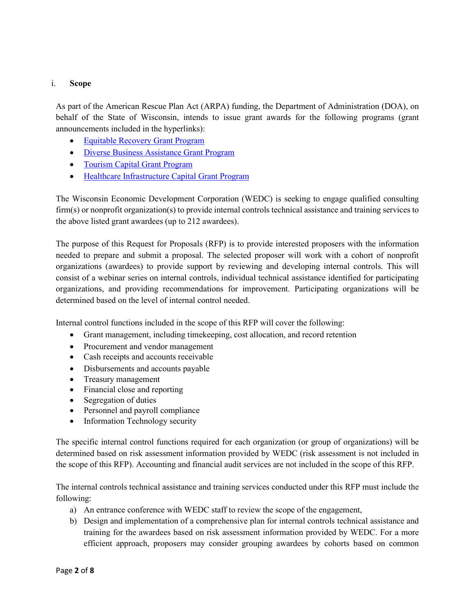# i. **Scope**

As part of the American Rescue Plan Act (ARPA) funding, the Department of Administration (DOA), on behalf of the State of Wisconsin, intends to issue grant awards for the following programs (grant announcements included in the hyperlinks):

- [Equitable Recovery Grant Program](https://doa.wi.gov/DEO/Notice%20of%20Award-Equitable%20Recovery%20Revised%20May%204%2c%202022.pdf)
- [Diverse Business Assistance Grant Program](https://doa.wi.gov/DEO/Notice%20of%20Award%20Diverse%20Business%20Assistance.pdf)
- [Tourism Capital](https://doa.wi.gov/DEO/Notice%20of%20Award-Tourism%20Capital.pdf) Grant Program
- [Healthcare Infrastructure Capital Grant Program](https://doa.wi.gov/DEO/Notice%20of%20Award%20Healthcare%20Infrastructure%20Updated%20May%202022.pdf)

The Wisconsin Economic Development Corporation (WEDC) is seeking to engage qualified consulting firm(s) or nonprofit organization(s) to provide internal controls technical assistance and training services to the above listed grant awardees (up to 212 awardees).

The purpose of this Request for Proposals (RFP) is to provide interested proposers with the information needed to prepare and submit a proposal. The selected proposer will work with a cohort of nonprofit organizations (awardees) to provide support by reviewing and developing internal controls. This will consist of a webinar series on internal controls, individual technical assistance identified for participating organizations, and providing recommendations for improvement. Participating organizations will be determined based on the level of internal control needed.

Internal control functions included in the scope of this RFP will cover the following:

- Grant management, including timekeeping, cost allocation, and record retention
- Procurement and vendor management
- Cash receipts and accounts receivable
- Disbursements and accounts payable
- Treasury management
- Financial close and reporting
- Segregation of duties
- Personnel and payroll compliance
- Information Technology security

The specific internal control functions required for each organization (or group of organizations) will be determined based on risk assessment information provided by WEDC (risk assessment is not included in the scope of this RFP). Accounting and financial audit services are not included in the scope of this RFP.

The internal controls technical assistance and training services conducted under this RFP must include the following:

- a) An entrance conference with WEDC staff to review the scope of the engagement,
- b) Design and implementation of a comprehensive plan for internal controls technical assistance and training for the awardees based on risk assessment information provided by WEDC. For a more efficient approach, proposers may consider grouping awardees by cohorts based on common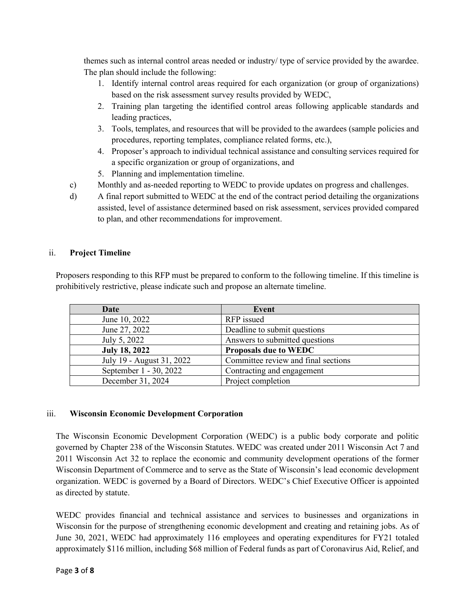themes such as internal control areas needed or industry/ type of service provided by the awardee. The plan should include the following:

- 1. Identify internal control areas required for each organization (or group of organizations) based on the risk assessment survey results provided by WEDC,
- 2. Training plan targeting the identified control areas following applicable standards and leading practices,
- 3. Tools, templates, and resources that will be provided to the awardees (sample policies and procedures, reporting templates, compliance related forms, etc.),
- 4. Proposer's approach to individual technical assistance and consulting services required for a specific organization or group of organizations, and
- 5. Planning and implementation timeline.
- c) Monthly and as-needed reporting to WEDC to provide updates on progress and challenges.
- d) A final report submitted to WEDC at the end of the contract period detailing the organizations assisted, level of assistance determined based on risk assessment, services provided compared to plan, and other recommendations for improvement.

# ii. **Project Timeline**

Proposers responding to this RFP must be prepared to conform to the following timeline. If this timeline is prohibitively restrictive, please indicate such and propose an alternate timeline.

| Date                      | Event                               |
|---------------------------|-------------------------------------|
| June 10, 2022             | RFP issued                          |
| June 27, 2022             | Deadline to submit questions        |
| July 5, 2022              | Answers to submitted questions      |
| <b>July 18, 2022</b>      | <b>Proposals due to WEDC</b>        |
| July 19 - August 31, 2022 | Committee review and final sections |
| September 1 - 30, 2022    | Contracting and engagement          |
| December 31, 2024         | Project completion                  |

# iii. **Wisconsin Economic Development Corporation**

The Wisconsin Economic Development Corporation (WEDC) is a public body corporate and politic governed by Chapter 238 of the Wisconsin Statutes. WEDC was created under 2011 Wisconsin Act 7 and 2011 Wisconsin Act 32 to replace the economic and community development operations of the former Wisconsin Department of Commerce and to serve as the State of Wisconsin's lead economic development organization. WEDC is governed by a Board of Directors. WEDC's Chief Executive Officer is appointed as directed by statute.

WEDC provides financial and technical assistance and services to businesses and organizations in Wisconsin for the purpose of strengthening economic development and creating and retaining jobs. As of June 30, 2021, WEDC had approximately 116 employees and operating expenditures for FY21 totaled approximately \$116 million, including \$68 million of Federal funds as part of Coronavirus Aid, Relief, and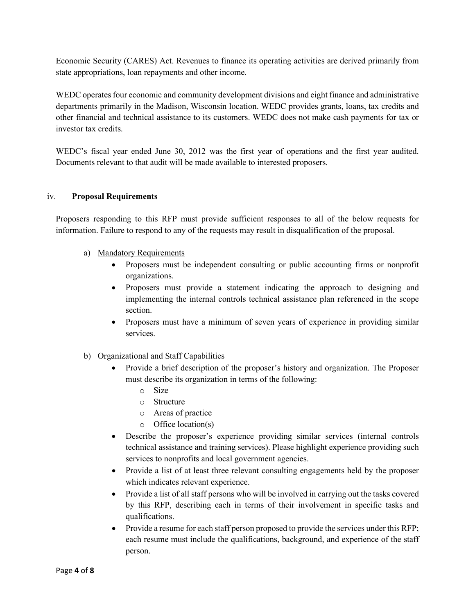Economic Security (CARES) Act. Revenues to finance its operating activities are derived primarily from state appropriations, loan repayments and other income.

WEDC operates four economic and community development divisions and eight finance and administrative departments primarily in the Madison, Wisconsin location. WEDC provides grants, loans, tax credits and other financial and technical assistance to its customers. WEDC does not make cash payments for tax or investor tax credits.

WEDC's fiscal year ended June 30, 2012 was the first year of operations and the first year audited. Documents relevant to that audit will be made available to interested proposers.

# iv. **Proposal Requirements**

Proposers responding to this RFP must provide sufficient responses to all of the below requests for information. Failure to respond to any of the requests may result in disqualification of the proposal.

- a) Mandatory Requirements
	- Proposers must be independent consulting or public accounting firms or nonprofit organizations.
	- Proposers must provide a statement indicating the approach to designing and implementing the internal controls technical assistance plan referenced in the scope section.
	- Proposers must have a minimum of seven years of experience in providing similar services.
- b) Organizational and Staff Capabilities
	- Provide a brief description of the proposer's history and organization. The Proposer must describe its organization in terms of the following:
		- o Size
		- o Structure
		- o Areas of practice
		- o Office location(s)
	- Describe the proposer's experience providing similar services (internal controls technical assistance and training services). Please highlight experience providing such services to nonprofits and local government agencies.
	- Provide a list of at least three relevant consulting engagements held by the proposer which indicates relevant experience.
	- Provide a list of all staff persons who will be involved in carrying out the tasks covered by this RFP, describing each in terms of their involvement in specific tasks and qualifications.
	- Provide a resume for each staff person proposed to provide the services under this RFP; each resume must include the qualifications, background, and experience of the staff person.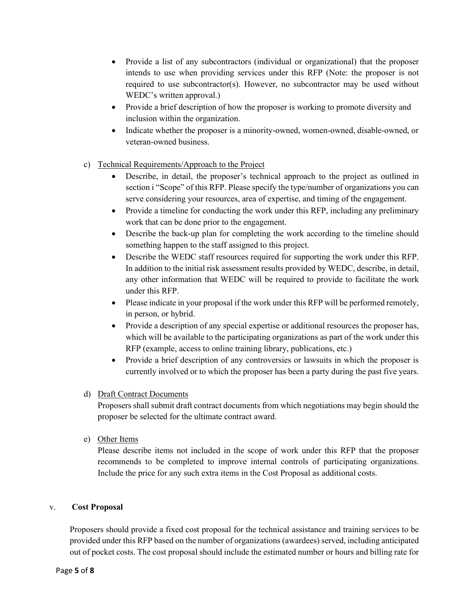- Provide a list of any subcontractors (individual or organizational) that the proposer intends to use when providing services under this RFP (Note: the proposer is not required to use subcontractor(s). However, no subcontractor may be used without WEDC's written approval.)
- Provide a brief description of how the proposer is working to promote diversity and inclusion within the organization.
- Indicate whether the proposer is a minority-owned, women-owned, disable-owned, or veteran-owned business.
- c) Technical Requirements/Approach to the Project
	- Describe, in detail, the proposer's technical approach to the project as outlined in section i "Scope" of this RFP. Please specify the type/number of organizations you can serve considering your resources, area of expertise, and timing of the engagement.
	- Provide a timeline for conducting the work under this RFP, including any preliminary work that can be done prior to the engagement.
	- Describe the back-up plan for completing the work according to the timeline should something happen to the staff assigned to this project.
	- Describe the WEDC staff resources required for supporting the work under this RFP. In addition to the initial risk assessment results provided by WEDC, describe, in detail, any other information that WEDC will be required to provide to facilitate the work under this RFP.
	- Please indicate in your proposal if the work under this RFP will be performed remotely, in person, or hybrid.
	- Provide a description of any special expertise or additional resources the proposer has, which will be available to the participating organizations as part of the work under this RFP (example, access to online training library, publications, etc.)
	- Provide a brief description of any controversies or lawsuits in which the proposer is currently involved or to which the proposer has been a party during the past five years.

# d) Draft Contract Documents

Proposers shall submit draft contract documents from which negotiations may begin should the proposer be selected for the ultimate contract award.

e) Other Items

Please describe items not included in the scope of work under this RFP that the proposer recommends to be completed to improve internal controls of participating organizations. Include the price for any such extra items in the Cost Proposal as additional costs.

# v. **Cost Proposal**

Proposers should provide a fixed cost proposal for the technical assistance and training services to be provided under this RFP based on the number of organizations (awardees) served, including anticipated out of pocket costs. The cost proposal should include the estimated number or hours and billing rate for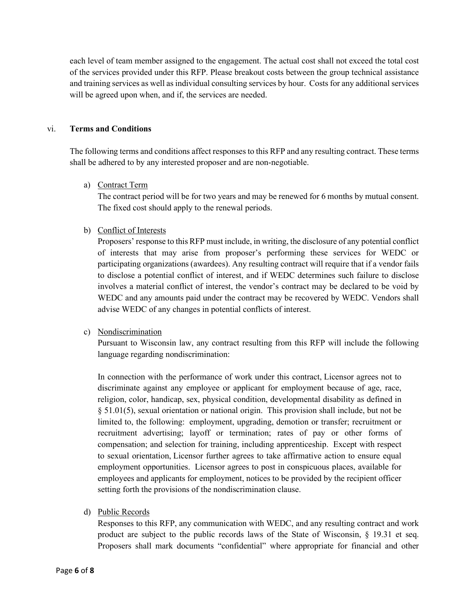each level of team member assigned to the engagement. The actual cost shall not exceed the total cost of the services provided under this RFP. Please breakout costs between the group technical assistance and training services as well as individual consulting services by hour. Costs for any additional services will be agreed upon when, and if, the services are needed.

#### vi. **Terms and Conditions**

The following terms and conditions affect responses to this RFP and any resulting contract. These terms shall be adhered to by any interested proposer and are non-negotiable.

#### a) Contract Term

The contract period will be for two years and may be renewed for 6 months by mutual consent. The fixed cost should apply to the renewal periods.

# b) Conflict of Interests

Proposers' response to this RFP must include, in writing, the disclosure of any potential conflict of interests that may arise from proposer's performing these services for WEDC or participating organizations (awardees). Any resulting contract will require that if a vendor fails to disclose a potential conflict of interest, and if WEDC determines such failure to disclose involves a material conflict of interest, the vendor's contract may be declared to be void by WEDC and any amounts paid under the contract may be recovered by WEDC. Vendors shall advise WEDC of any changes in potential conflicts of interest.

# c) Nondiscrimination

Pursuant to Wisconsin law, any contract resulting from this RFP will include the following language regarding nondiscrimination:

In connection with the performance of work under this contract, Licensor agrees not to discriminate against any employee or applicant for employment because of age, race, religion, color, handicap, sex, physical condition, developmental disability as defined in § 51.01(5), sexual orientation or national origin. This provision shall include, but not be limited to, the following: employment, upgrading, demotion or transfer; recruitment or recruitment advertising; layoff or termination; rates of pay or other forms of compensation; and selection for training, including apprenticeship. Except with respect to sexual orientation, Licensor further agrees to take affirmative action to ensure equal employment opportunities. Licensor agrees to post in conspicuous places, available for employees and applicants for employment, notices to be provided by the recipient officer setting forth the provisions of the nondiscrimination clause.

d) Public Records

Responses to this RFP, any communication with WEDC, and any resulting contract and work product are subject to the public records laws of the State of Wisconsin, § 19.31 et seq. Proposers shall mark documents "confidential" where appropriate for financial and other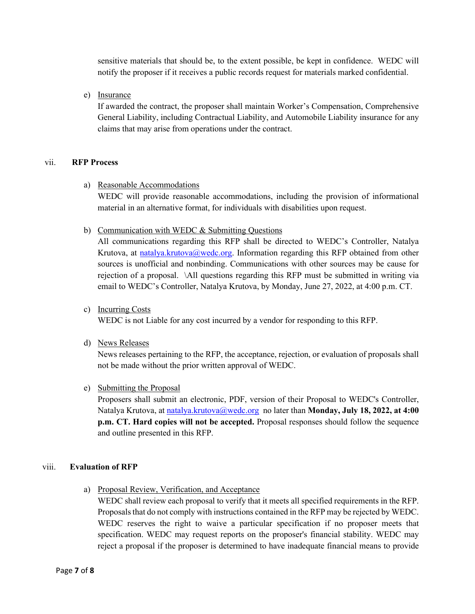sensitive materials that should be, to the extent possible, be kept in confidence. WEDC will notify the proposer if it receives a public records request for materials marked confidential.

e) Insurance

If awarded the contract, the proposer shall maintain Worker's Compensation, Comprehensive General Liability, including Contractual Liability, and Automobile Liability insurance for any claims that may arise from operations under the contract.

# vii. **RFP Process**

a) Reasonable Accommodations

WEDC will provide reasonable accommodations, including the provision of informational material in an alternative format, for individuals with disabilities upon request.

b) Communication with WEDC & Submitting Questions

All communications regarding this RFP shall be directed to WEDC's Controller, Natalya Krutova, at [natalya.krutova@wedc.org.](mailto:gina.smetana@wedc.org) Information regarding this RFP obtained from other sources is unofficial and nonbinding. Communications with other sources may be cause for rejection of a proposal. \All questions regarding this RFP must be submitted in writing via email to WEDC's Controller, Natalya Krutova, by Monday, June 27, 2022, at 4:00 p.m. CT.

c) Incurring Costs

WEDC is not Liable for any cost incurred by a vendor for responding to this RFP.

d) News Releases

News releases pertaining to the RFP, the acceptance, rejection, or evaluation of proposals shall not be made without the prior written approval of WEDC.

e) Submitting the Proposal

Proposers shall submit an electronic, PDF, version of their Proposal to WEDC's Controller, Natalya Krutova, at [natalya.krutova@wedc.org](mailto:natalya.krutova@wedc.org) no later than **Monday, July 18, 2022, at 4:00 p.m. CT. Hard copies will not be accepted.** Proposal responses should follow the sequence and outline presented in this RFP.

# viii. **Evaluation of RFP**

a) Proposal Review, Verification, and Acceptance

WEDC shall review each proposal to verify that it meets all specified requirements in the RFP. Proposals that do not comply with instructions contained in the RFP may be rejected by WEDC. WEDC reserves the right to waive a particular specification if no proposer meets that specification. WEDC may request reports on the proposer's financial stability. WEDC may reject a proposal if the proposer is determined to have inadequate financial means to provide